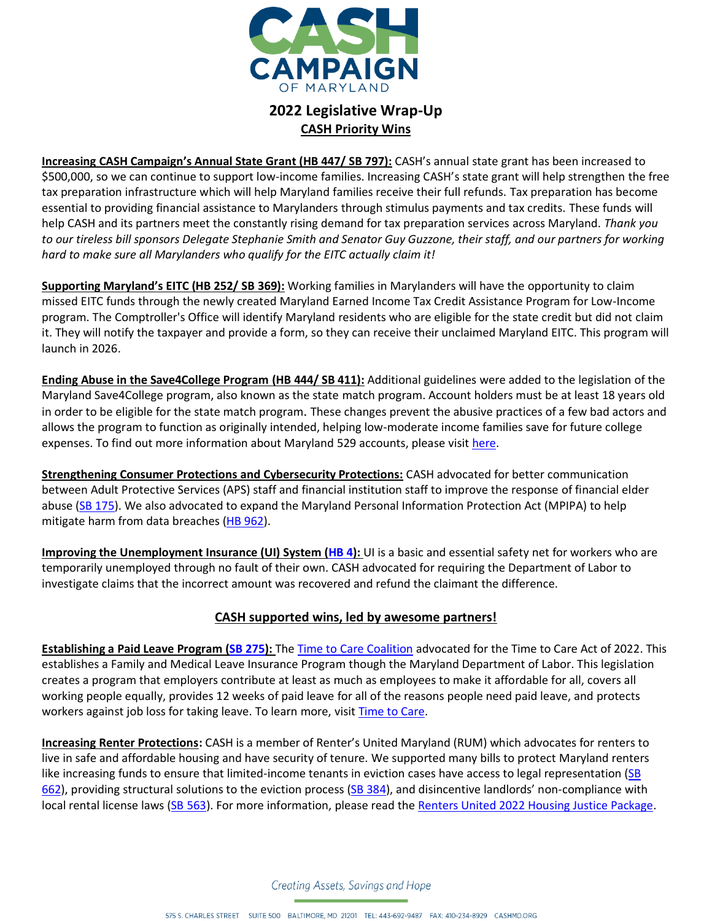

## **2022 Legislative Wrap-Up CASH Priority Wins**

**Increasing CASH Campaign's Annual State Grant (HB 447/ SB 797):** CASH's annual state grant has been increased to \$500,000, so we can continue to support low-income families. Increasing CASH's state grant will help strengthen the free tax preparation infrastructure which will help Maryland families receive their full refunds. Tax preparation has become essential to providing financial assistance to Marylanders through stimulus payments and tax credits. These funds will help CASH and its partners meet the constantly rising demand for tax preparation services across Maryland. *Thank you to our tireless bill sponsors Delegate Stephanie Smith and Senator Guy Guzzone, their staff, and our partners for working hard to make sure all Marylanders who qualify for the EITC actually claim it!*

**Supporting Maryland's EITC (HB 252/ SB 369):** Working families in Marylanders will have the opportunity to claim missed EITC funds through the newly created Maryland Earned Income Tax Credit Assistance Program for Low-Income program. The Comptroller's Office will identify Maryland residents who are eligible for the state credit but did not claim it. They will notify the taxpayer and provide a form, so they can receive their unclaimed Maryland EITC. This program will launch in 2026.

**Ending Abuse in the Save4College Program (HB 444/ SB 411):** Additional guidelines were added to the legislation of the Maryland Save4College program, also known as the state match program. Account holders must be at least 18 years old in order to be eligible for the state match program. These changes prevent the abusive practices of a few bad actors and allows the program to function as originally intended, helping low-moderate income families save for future college expenses. To find out more information about Maryland 529 accounts, please visit [here.](https://maryland529.com/Save4College)

**Strengthening Consumer Protections and Cybersecurity Protections:** CASH advocated for better communication between Adult Protective Services (APS) staff and financial institution staff to improve the response of financial elder abuse [\(SB 175\)](https://mgaleg.maryland.gov/mgawebsite/Legislation/Details/sb0175). We also advocated to expand the Maryland Personal Information Protection Act (MPIPA) to help mitigate harm from data breaches [\(HB 962\)](https://mgaleg.maryland.gov/mgawebsite/Legislation/Details/hb0962).

**Improving the Unemployment Insurance (UI) System [\(HB 4\)](https://mgaleg.maryland.gov/mgawebsite/Legislation/Details/hb0004):** UI is a basic and essential safety net for workers who are temporarily unemployed through no fault of their own. CASH advocated for requiring the Department of Labor to investigate claims that the incorrect amount was recovered and refund the claimant the difference.

## **CASH supported wins, led by awesome partners!**

**Establishing a Paid Leave Program [\(SB 275\)](https://mgaleg.maryland.gov/mgawebsite/Legislation/Details/sb0275):** The [Time to Care Coalition](https://www.timetocare.net/) advocated for the Time to Care Act of 2022. This establishes a Family and Medical Leave Insurance Program though the Maryland Department of Labor. This legislation creates a program that employers contribute at least as much as employees to make it affordable for all, covers all working people equally, provides 12 weeks of paid leave for all of the reasons people need paid leave, and protects workers against job loss for taking leave. To learn more, visit [Time to Care.](https://www.timetocare.net/)

**Increasing Renter Protections:** CASH is a member of Renter's United Maryland (RUM) which advocates for renters to live in safe and affordable housing and have security of tenure. We supported many bills to protect Maryland renters like increasing funds to ensure that limited-income tenants in eviction cases have access to legal representation (SB [662\)](https://mgaleg.maryland.gov/mgawebsite/Legislation/Details/SB0662?ys=2022RS), providing structural solutions to the eviction process [\(SB 384\)](https://mgaleg.maryland.gov/mgawebsite/Legislation/Details/SB0384?ys=2022RS), and disincentive landlords' non-compliance with local rental license laws [\(SB 563\)](https://mgaleg.maryland.gov/mgawebsite/Legislation/Details/SB0563?ys=2022RS). For more information, please read th[e Renters United 2022 Housing Justice Package.](https://rentersunitedmaryland.org/)

Creating Assets, Savings and Hope